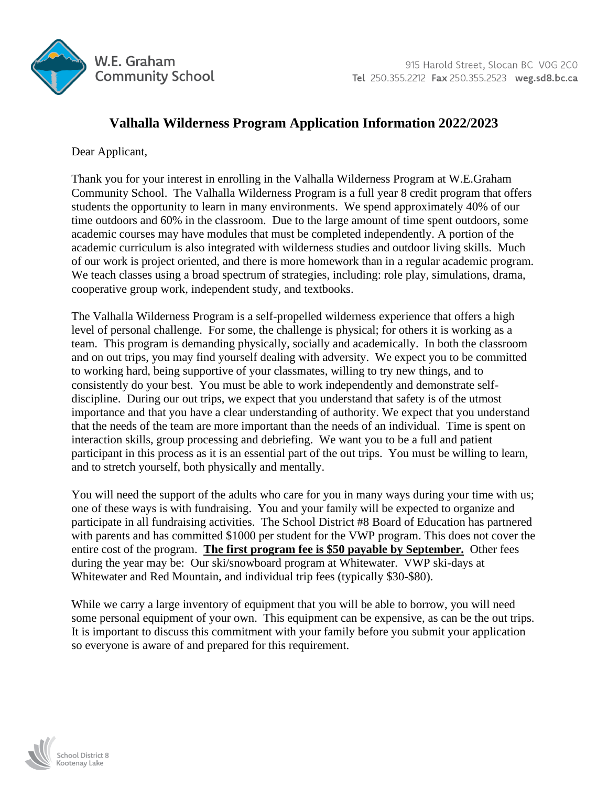

## **Valhalla Wilderness Program Application Information 2022/2023**

Dear Applicant,

Thank you for your interest in enrolling in the Valhalla Wilderness Program at W.E.Graham Community School. The Valhalla Wilderness Program is a full year 8 credit program that offers students the opportunity to learn in many environments. We spend approximately 40% of our time outdoors and 60% in the classroom. Due to the large amount of time spent outdoors, some academic courses may have modules that must be completed independently. A portion of the academic curriculum is also integrated with wilderness studies and outdoor living skills. Much of our work is project oriented, and there is more homework than in a regular academic program. We teach classes using a broad spectrum of strategies, including: role play, simulations, drama, cooperative group work, independent study, and textbooks.

The Valhalla Wilderness Program is a self-propelled wilderness experience that offers a high level of personal challenge. For some, the challenge is physical; for others it is working as a team. This program is demanding physically, socially and academically. In both the classroom and on out trips, you may find yourself dealing with adversity. We expect you to be committed to working hard, being supportive of your classmates, willing to try new things, and to consistently do your best. You must be able to work independently and demonstrate selfdiscipline. During our out trips, we expect that you understand that safety is of the utmost importance and that you have a clear understanding of authority. We expect that you understand that the needs of the team are more important than the needs of an individual. Time is spent on interaction skills, group processing and debriefing. We want you to be a full and patient participant in this process as it is an essential part of the out trips. You must be willing to learn, and to stretch yourself, both physically and mentally.

You will need the support of the adults who care for you in many ways during your time with us; one of these ways is with fundraising. You and your family will be expected to organize and participate in all fundraising activities. The School District #8 Board of Education has partnered with parents and has committed \$1000 per student for the VWP program. This does not cover the entire cost of the program. **The first program fee is \$50 payable by September.** Other fees during the year may be: Our ski/snowboard program at Whitewater. VWP ski-days at Whitewater and Red Mountain, and individual trip fees (typically \$30-\$80).

While we carry a large inventory of equipment that you will be able to borrow, you will need some personal equipment of your own. This equipment can be expensive, as can be the out trips. It is important to discuss this commitment with your family before you submit your application so everyone is aware of and prepared for this requirement.